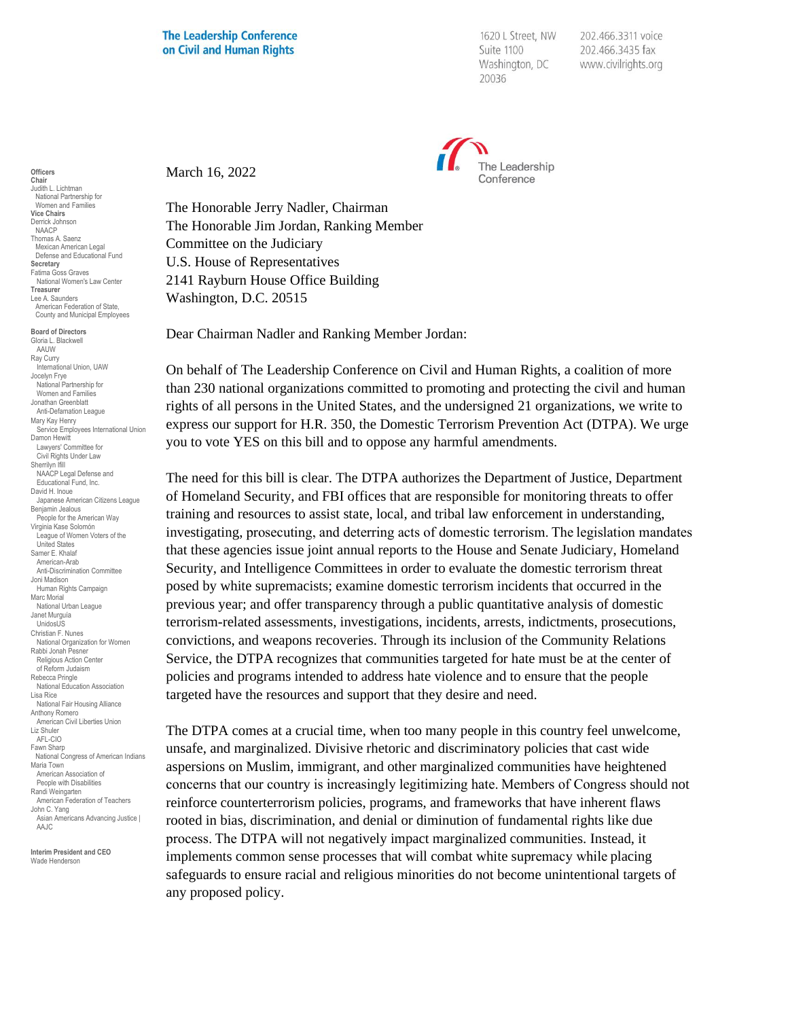1620 L Street, NW Suite 1100 Washington, DC 20036

202.466.3311 voice 202.466.3435 fax www.civilrights.org



March 16, 2022

The Honorable Jerry Nadler, Chairman The Honorable Jim Jordan, Ranking Member Committee on the Judiciary U.S. House of Representatives 2141 Rayburn House Office Building Washington, D.C. 20515

Dear Chairman Nadler and Ranking Member Jordan:

On behalf of The Leadership Conference on Civil and Human Rights, a coalition of more than 230 national organizations committed to promoting and protecting the civil and human rights of all persons in the United States, and the undersigned 21 organizations, we write to express our support for H.R. 350, the Domestic Terrorism Prevention Act (DTPA). We urge you to vote YES on this bill and to oppose any harmful amendments.

The need for this bill is clear. The DTPA authorizes the Department of Justice, Department of Homeland Security, and FBI offices that are responsible for monitoring threats to offer training and resources to assist state, local, and tribal law enforcement in understanding, investigating, prosecuting, and deterring acts of domestic terrorism. The legislation mandates that these agencies issue joint annual reports to the House and Senate Judiciary, Homeland Security, and Intelligence Committees in order to evaluate the domestic terrorism threat posed by white supremacists; examine domestic terrorism incidents that occurred in the previous year; and offer transparency through a public quantitative analysis of domestic terrorism-related assessments, investigations, incidents, arrests, indictments, prosecutions, convictions, and weapons recoveries. Through its inclusion of the Community Relations Service, the DTPA recognizes that communities targeted for hate must be at the center of policies and programs intended to address hate violence and to ensure that the people targeted have the resources and support that they desire and need.

The DTPA comes at a crucial time, when too many people in this country feel unwelcome, unsafe, and marginalized. Divisive rhetoric and discriminatory policies that cast wide aspersions on Muslim, immigrant, and other marginalized communities have heightened concerns that our country is increasingly legitimizing hate. Members of Congress should not reinforce counterterrorism policies, programs, and frameworks that have inherent flaws rooted in bias, discrimination, and denial or diminution of fundamental rights like due process. The DTPA will not negatively impact marginalized communities. Instead, it implements common sense processes that will combat white supremacy while placing safeguards to ensure racial and religious minorities do not become unintentional targets of any proposed policy.

**Officers Chair** Judith L. Lichtman National Partnership for Women and Families **Vice Chairs** Derrick Johnson NAACP Thomas A. Saenz Mexican American Legal Defense and Educational Fund **Secretary** Fatima Goss Graves National Women's Law Center **Treasurer** Lee A. Saunders American Federation of State, County and Municipal Employees

**Board of Directors** Gloria L. Blackwell AAUW Ray Curry International Union, UAW Jocelyn Frye National Partnership for Women and Families Jonathan Greenblatt Anti-Defamation League Mary Kay Henry Service Employees International Union Damon Hewitt Lawyers' Committee for Civil Rights Under Law Sherrilyn Ifill NAACP Legal Defense and Educational Fund, Inc. David H. Inoue Japanese American Citizens League Benjamin Jealous People for the American Way Virginia Kase Solomón League of Women Voters of the United States Samer E. Khalaf American-Arab Anti-Discrimination Committee Joni Madison Human Rights Campaign Marc Morial National Urban League Janet Murguía UnidosUS Christian F. Nunes National Organization for Women Rabbi Jonah Pesner Religious Action Center of Reform Judaism Rebecca Pringle National Education Association Lisa Rice National Fair Housing Alliance Anthony Romero American Civil Liberties Union Liz Shuler AFL-CIO Fawn Sharp National Congress of American Indians Maria Town American Association of People with Disabilities Randi Weingarten American Federation of Teachers John C. Yang Asian Americans Advancing Justice | AAJC.

**Interim President and CEO** Wade Henderson